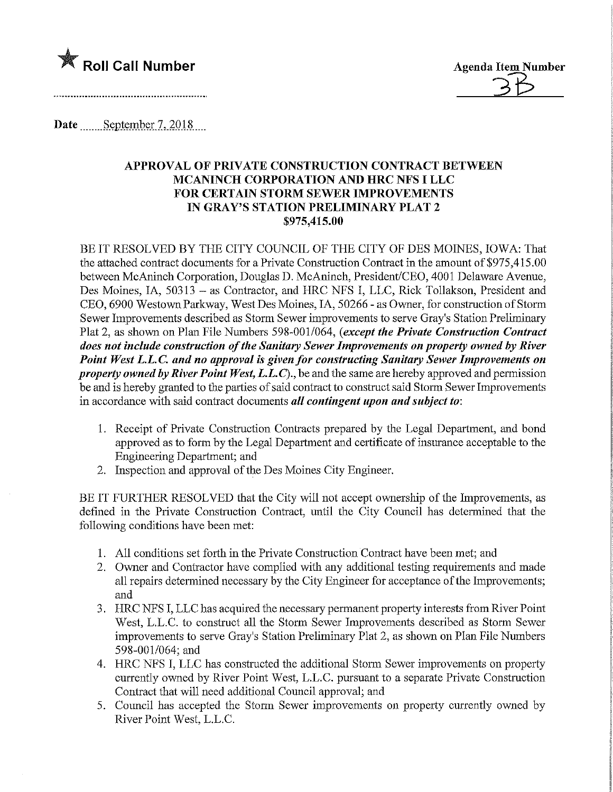

Date.........September 7, 2018....

## APPROVAL OF PRIVATE CONSTRUCTION CONTRACT BETWEEN MCANINCH CORPORATION AND HRC NFS I LLC FOR CERTAIN STORM SEWER IMPROVEMENTS IN GRAY'S STATION PRELIMINARY PLAT 2 \$975,415.00

BE IT RESOLVED BY THE CITY COUNCIL OF THE CITY OF DES MOINES, IOWA: That the attached contract documents for a Private Construction Contract in the amount of \$975,415.00 between McAninch Corporation, Douglas D. McAninch, President/CEO, 4001 Delaware Avenue, Des Moines, IA, 50313 - as Contractor, and HRC NFS I, LLC, Rick Tollakson, President and CEO, 6900 Westown Parkway, West Des Moines, IA, 50266 - as Owner, for construction of Storm Sewer Improvements described as Storm Sewer improvements to serve Gray's Station Preliminary Plat 2, as shown on Plan File Numbers 598-001/064, (except the Private Construction Contract does not include construction of the Sanitary Sewer Improvements on property owned by River Point West L.L.C. and no approval is given for constructing Sanitary Sewer Improvements on property owned by River Point West, L.L.C)., be and the same are hereby approved and permission be and is hereby granted to the parties of said contract to construct said Storm Sewer Improvements in accordance with said contract documents all contingent upon and subject to:

- 1. Receipt of Private Construction Contracts prepared by the Legal Department, and bond approved as to form by the Legal Department and certificate of insurance acceptable to the Engineering Department; and
- 2. Inspection and approval of the Des Moines City Bngineer.

BE IT FURTHER RESOLVED that the City will not accept ownership of the Improvements, as defined in the Private Construction Contract, until the City Council has determined that the following conditions have been met:

- 1. All conditions set forth in the Private Construction Contract have been met; and
- 2. Owner and Contractor have complied with any additional testing requirements and made all repairs determined necessary by the City Engineer for acceptance of the Improvements; and
- 3. HRC NFS I, LLC has acquired the necessary permanent property interests from River Point West, L.L.C. to construct all the Storm Sewer Improvements described as Storm Sewer improvements to serve Gray's Station Preliminary Plat 2, as shown on Plan File Numbers 598-001/064; and
- 4. HRC NFS I, LLC has constructed the additional Storm Sewer improvements on property currently owned by River Point West, L.L.C. pursuant to a separate Private Construction Contract that will need additional Council approval; and
- 5. Council has accepted the Storm Sewer improvements on property currently owned by River Point West, L.L.C.